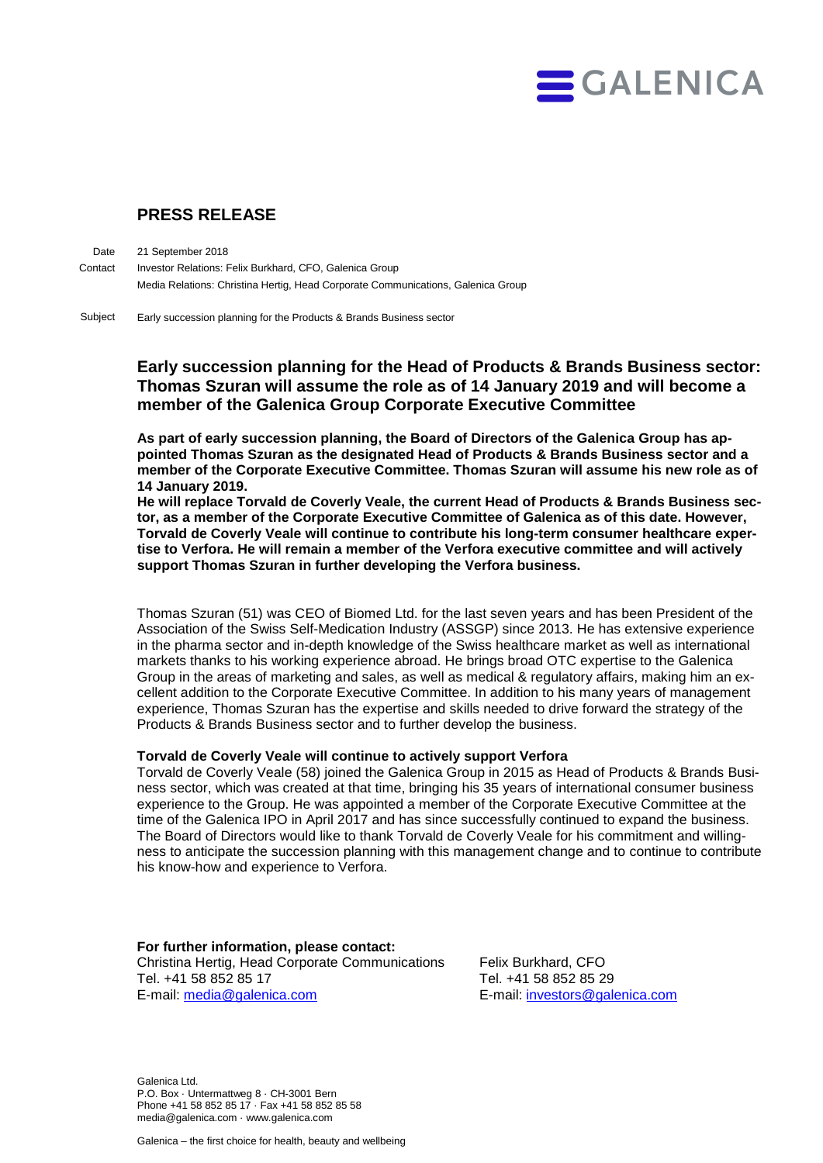

## **PRESS RELEASE**

21 September 2018 Investor Relations: Felix Burkhard, CFO, Galenica Group Media Relations: Christina Hertig, Head Corporate Communications, Galenica Group **Date Contact** 

Early succession planning for the Products & Brands Business sector Subject

## **Early succession planning for the Head of Products & Brands Business sector: Thomas Szuran will assume the role as of 14 January 2019 and will become a member of the Galenica Group Corporate Executive Committee**

**As part of early succession planning, the Board of Directors of the Galenica Group has appointed Thomas Szuran as the designated Head of Products & Brands Business sector and a member of the Corporate Executive Committee. Thomas Szuran will assume his new role as of 14 January 2019.**

**He will replace Torvald de Coverly Veale, the current Head of Products & Brands Business sector, as a member of the Corporate Executive Committee of Galenica as of this date. However, Torvald de Coverly Veale will continue to contribute his long-term consumer healthcare expertise to Verfora. He will remain a member of the Verfora executive committee and will actively support Thomas Szuran in further developing the Verfora business.** 

Thomas Szuran (51) was CEO of Biomed Ltd. for the last seven years and has been President of the Association of the Swiss Self-Medication Industry (ASSGP) since 2013. He has extensive experience in the pharma sector and in-depth knowledge of the Swiss healthcare market as well as international markets thanks to his working experience abroad. He brings broad OTC expertise to the Galenica Group in the areas of marketing and sales, as well as medical & regulatory affairs, making him an excellent addition to the Corporate Executive Committee. In addition to his many years of management experience, Thomas Szuran has the expertise and skills needed to drive forward the strategy of the Products & Brands Business sector and to further develop the business.

## **Torvald de Coverly Veale will continue to actively support Verfora**

Torvald de Coverly Veale (58) joined the Galenica Group in 2015 as Head of Products & Brands Business sector, which was created at that time, bringing his 35 years of international consumer business experience to the Group. He was appointed a member of the Corporate Executive Committee at the time of the Galenica IPO in April 2017 and has since successfully continued to expand the business. The Board of Directors would like to thank Torvald de Coverly Veale for his commitment and willingness to anticipate the succession planning with this management change and to continue to contribute his know-how and experience to Verfora.

**For further information, please contact:** Christina Hertig, Head Corporate Communications Felix Burkhard, CFO Tel. +41 58 852 85 17 Tel. +41 58 852 85 29 E-mail: [media@galenica.com](mailto:media@galenica.com) E-mail: [investors@galenica.com](mailto:investors@galenica.com)

Galenica Ltd. P.O. Box · Untermattweg 8 · CH-3001 Bern Phone +41 58 852 85 17 · Fax +41 58 852 85 58 media@galenica.com · www.galenica.com